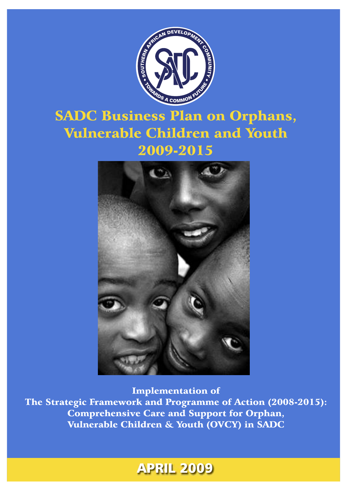

# **SADC Business Plan on Orphans, Vulnerable Children and Youth** 2009-2015



**Implementation of** The Strategic Framework and Programme of Action (2008-2015): **Comprehensive Care and Support for Orphan,** Vulnerable Children & Youth (OVCY) in SADC

# **APRIL 2009**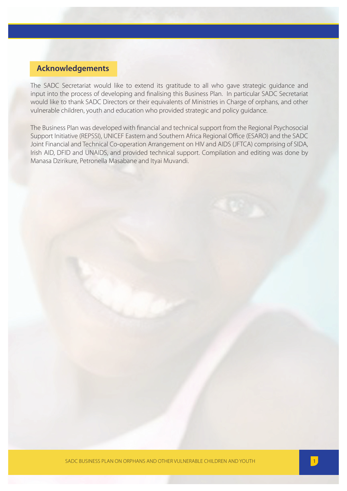## **Acknowledgements**

The SADC Secretariat would like to extend its gratitude to all who gave strategic guidance and input into the process of developing and finalising this Business Plan. In particular SADC Secretariat would like to thank SADC Directors or their equivalents of Ministries in Charge of orphans, and other vulnerable children, youth and education who provided strategic and policy guidance.

The Business Plan was developed with financial and technical support from the Regional Psychosocial Support Initiative (REPSSI), UNICEF Eastern and Southern Africa Regional Office (ESARO) and the SADC Joint Financial and Technical Co-operation Arrangement on HIV and AIDS (JFTCA) comprising of SIDA, Irish AID, DFID and UNAIDS, and provided technical support. Compilation and editing was done by Manasa Dzirikure, Petronella Masabane and Ityai Muvandi.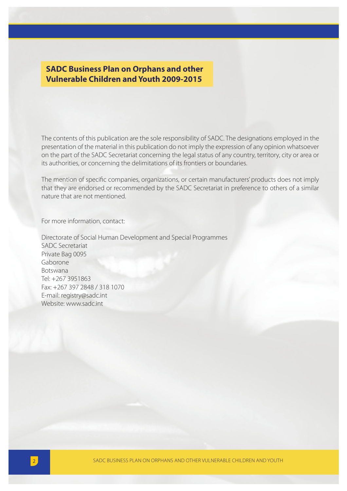## **SADC Business Plan on Orphans and other Vulnerable Children and Youth 2009-2015**

The contents of this publication are the sole responsibility of SADC. The designations employed in the presentation of the material in this publication do not imply the expression of any opinion whatsoever on the part of the SADC Secretariat concerning the legal status of any country, territory, city or area or its authorities, or concerning the delimitations of its frontiers or boundaries.

The mention of specific companies, organizations, or certain manufacturers' products does not imply that they are endorsed or recommended by the SADC Secretariat in preference to others of a similar nature that are not mentioned.

For more information, contact:

Directorate of Social Human Development and Special Programmes SADC Secretariat Private Bag 0095 Gaborone Botswana Tel: +267 3951863 Fax: +267 397 2848 / 318 1070 E-mail: registry@sadc.int Website: www.sadc.int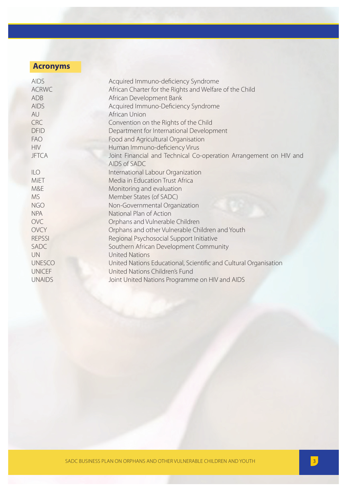## **Acronyms**

| <b>AIDS</b>   | Acquired Immuno-deficiency Syndrome                                               |
|---------------|-----------------------------------------------------------------------------------|
| <b>ACRWC</b>  | African Charter for the Rights and Welfare of the Child                           |
| ADB           | African Development Bank                                                          |
| <b>AIDS</b>   | Acquired Immuno-Deficiency Syndrome                                               |
| AU            | African Union                                                                     |
| <b>CRC</b>    | Convention on the Rights of the Child                                             |
| <b>DFID</b>   | Department for International Development                                          |
| <b>FAO</b>    | Food and Agricultural Organisation                                                |
| <b>HIV</b>    | Human Immuno-deficiency Virus                                                     |
| <b>JFTCA</b>  | Joint Financial and Technical Co-operation Arrangement on HIV and<br>AIDS of SADC |
| <b>ILO</b>    | International Labour Organization                                                 |
| MiET          | Media in Education Trust Africa                                                   |
| M&E           | Monitoring and evaluation                                                         |
| <b>MS</b>     | Member States (of SADC)                                                           |
| <b>NGO</b>    | Non-Governmental Organization                                                     |
| <b>NPA</b>    | National Plan of Action                                                           |
| <b>OVC</b>    | Orphans and Vulnerable Children                                                   |
| <b>OVCY</b>   | Orphans and other Vulnerable Children and Youth                                   |
| <b>REPSSI</b> | Regional Psychosocial Support Initiative                                          |
| SADC          | Southern African Development Community                                            |
| <b>UN</b>     | <b>United Nations</b>                                                             |
| <b>UNESCO</b> | United Nations Educational, Scientific and Cultural Organisation                  |
| <b>UNICEF</b> | United Nations Children's Fund                                                    |
| <b>UNAIDS</b> | Joint United Nations Programme on HIV and AIDS                                    |
|               |                                                                                   |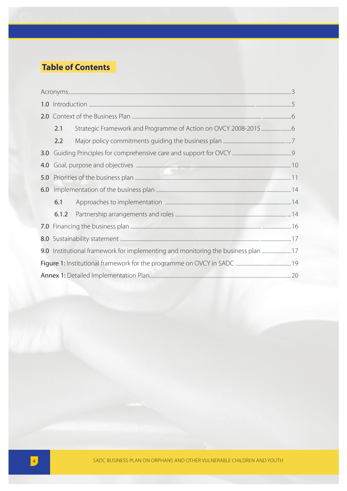## **Table of Contents**

|                  | 2.1   |                                                                                   |  |
|------------------|-------|-----------------------------------------------------------------------------------|--|
|                  | 2.2   |                                                                                   |  |
| 3.0 <sub>1</sub> |       |                                                                                   |  |
| 4.0              |       |                                                                                   |  |
| 5.0              |       |                                                                                   |  |
|                  |       |                                                                                   |  |
|                  | 6.1   |                                                                                   |  |
|                  | 6.1.2 |                                                                                   |  |
|                  |       |                                                                                   |  |
|                  |       |                                                                                   |  |
|                  |       | 9.0 Institutional framework for implementing and monitoring the business plan  17 |  |
|                  |       |                                                                                   |  |
|                  |       |                                                                                   |  |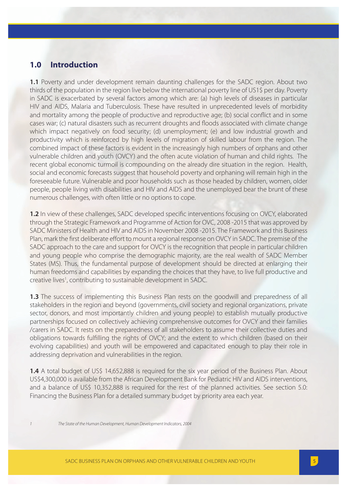## **1.0 Introduction**

1.1 Poverty and under development remain daunting challenges for the SADC region. About two thirds of the population in the region live below the international poverty line of US1\$ per day. Poverty in SADC is exacerbated by several factors among which are: (a) high levels of diseases in particular HIV and AIDS, Malaria and Tuberculosis. These have resulted in unprecedented levels of morbidity and mortality among the people of productive and reproductive age; (b) social conflict and in some cases war; (c) natural disasters such as recurrent droughts and floods associated with climate change which impact negatively on food security; (d) unemployment; (e) and low industrial growth and productivity which is reinforced by high levels of migration of skilled labour from the region. The combined impact of these factors is evident in the increasingly high numbers of orphans and other vulnerable children and youth (OVCY) and the often acute violation of human and child rights. The recent global economic turmoil is compounding on the already dire situation in the region. Health, social and economic forecasts suggest that household poverty and orphaning will remain high in the foreseeable future. Vulnerable and poor households such as those headed by children, women, older people, people living with disabilities and HIV and AIDS and the unemployed bear the brunt of these numerous challenges, with often little or no options to cope.

**1.2** In view of these challenges, SADC developed specific interventions focusing on OVCY, elaborated through the Strategic Framework and Programme of Action for OVC, 2008 -2015 that was approved by SADC Ministers of Health and HIV and AIDS in November 2008 -2015. The Framework and this Business Plan, mark the first deliberate effort to mount a regional response on OVCY in SADC. The premise of the SADC approach to the care and support for OVCY is the recognition that people in particular children and young people who comprise the demographic majority, are the real wealth of SADC Member States (MS). Thus, the fundamental purpose of development should be directed at enlarging their human freedoms and capabilities by expanding the choices that they have, to live full productive and creative lives<sup>1</sup>, contributing to sustainable development in SADC.

**1.3** The success of implementing this Business Plan rests on the goodwill and preparedness of all stakeholders in the region and beyond (governments, civil society and regional organizations, private sector, donors, and most importantly children and young people) to establish mutually productive partnerships focused on collectively achieving comprehensive outcomes for OVCY and their families /carers in SADC. It rests on the preparedness of all stakeholders to assume their collective duties and obligations towards fulfilling the rights of OVCY; and the extent to which children (based on their evolving capabilities) and youth will be empowered and capacitated enough to play their role in addressing deprivation and vulnerabilities in the region.

**1.4** A total budget of US\$ 14,652,888 is required for the six year period of the Business Plan. About US\$4,300,000 is available from the African Development Bank for Pediatric HIV and AIDS interventions, and a balance of US\$ 10,352,888 is required for the rest of the planned activities. See section 5.0: Financing the Business Plan for a detailed summary budget by priority area each year.

1 The State of the Human Development, Human Development Indicators, 2004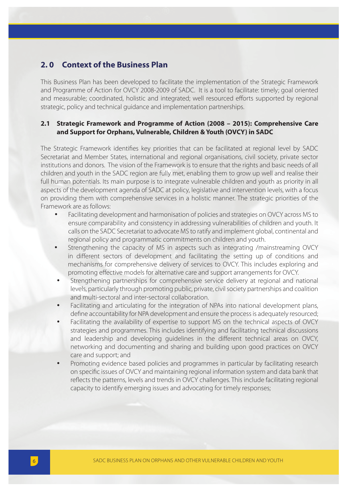## **2. 0 Context of the Business Plan**

This Business Plan has been developed to facilitate the implementation of the Strategic Framework and Programme of Action for OVCY 2008-2009 of SADC. It is a tool to facilitate: timely; goal oriented and measurable; coordinated, holistic and integrated; well resourced efforts supported by regional strategic, policy and technical guidance and implementation partnerships.

#### **2.1 Strategic Framework and Programme of Action (2008 – 2015): Comprehensive Care and Support for Orphans, Vulnerable, Children & Youth (OVCY) in SADC**

The Strategic Framework identifies key priorities that can be facilitated at regional level by SADC Secretariat and Member States, international and regional organisations, civil society, private sector institutions and donors. The vision of the Framework is to ensure that the rights and basic needs of all children and youth in the SADC region are fully met, enabling them to grow up well and realise their full human potentials. Its main purpose is to integrate vulnerable children and youth as priority in all aspects of the development agenda of SADC at policy, legislative and intervention levels, with a focus on providing them with comprehensive services in a holistic manner. The strategic priorities of the Framework are as follows:

- !" Facilitating development and harmonisation of policies and strategies on OVCY across MS to ensure comparability and consistency in addressing vulnerabilities of children and youth. It calls on the SADC Secretariat to advocate MS to ratify and implement global, continental and regional policy and programmatic commitments on children and youth.
- Strengthening the capacity of MS in aspects such as integrating /mainstreaming OVCY in different sectors of development and facilitating the setting up of conditions and mechanisms for comprehensive delivery of services to OVCY. This includes exploring and promoting effective models for alternative care and support arrangements for OVCY.
- Strengthening partnerships for comprehensive service delivery at regional and national levels, particularly through promoting public, private, civil society partnerships and coalition and multi-sectoral and inter-sectoral collaboration.
- Facilitating and articulating for the integration of NPAs into national development plans, define accountability for NPA development and ensure the process is adequately resourced;
- Facilitating the availability of expertise to support MS on the technical aspects of OVCY strategies and programmes. This includes identifying and facilitating technical discussions and leadership and developing guidelines in the different technical areas on OVCY, networking and documenting and sharing and building upon good practices on OVCY care and support; and
- Promoting evidence based policies and programmes in particular by facilitating research on specific issues of OVCY and maintaining regional information system and data bank that reflects the patterns, levels and trends in OVCY challenges. This include facilitating regional capacity to identify emerging issues and advocating for timely responses;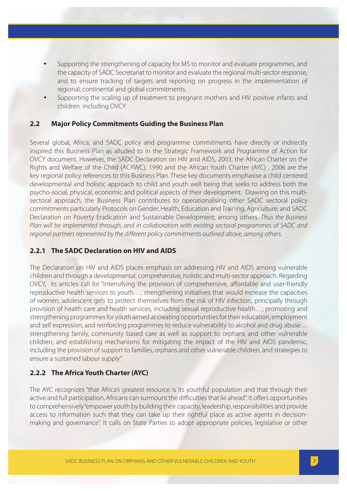- Supporting the strengthening of capacity for MS to monitor and evaluate programmes, and the capacity of SADC Secretariat to monitor and evaluate the regional multi-sector response, and to ensure tracking of targets and reporting on progress in the implementation of regional, continental and global commitments.
- Supporting the scaling up of treatment to pregnant mothers and HIV positive infants and children including OVCY

## **2.2 Major Policy Commitments Guiding the Business Plan**

Several global, Africa, and SADC policy and programme commitments have directly or indirectly inspired this Business Plan as alluded to in the Strategic Framework and Programme of Action for OVCY document. However, the SADC Declaration on HIV and AIDS, 2003; the African Charter on the Rights and Welfare of the Child (ACRWC), 1990 and the African Youth Charter (AYC) , 2006 are the key regional policy references to this Business Plan. These key documents emphasise a child centered developmental and holistic approach to child and youth well being that seeks to address both the psycho-social, physical, economic and political aspects of their development. Drawing on this multisectoral approach, the Business Plan contributes to operationalising other SADC sectoral policy commitments particularly Protocols on Gender, Health, Education and Training, Agriculture; and SADC Declaration on Poverty Eradication and Sustainable Development; among others. Thus the Business Plan will be implemented through, and in collaboration with existing sectoral programmes of SADC and regional partners represented by the different policy commitments outlined above, among others.

## **2.2.1 The SADC Declaration on HIV and AIDS**

The Declaration on HIV and AIDS places emphasis on addressing HIV and AIDS among vulnerable children and through a developmental, comprehensive, holistic and multi-sector approach. Regarding OVCY, its articles call for "intensifying the provision of comprehensive, affordable and user-friendly reproductive health services to youth…; strengthening initiatives that would increase the capacities of women, adolescent girls to protect themselves from the risk of HIV infection, principally through provision of health care and health services, including sexual reproductive health…; promoting and strengthening programmes for youth aimed at creating opportunities for their education, employment and self expression, and reinforcing programmes to reduce vulnerability to alcohol and drug abuse… strengthening family, community based care as well as support to orphans and other vulnerable children; and establishing mechanisms for mitigating the impact of the HIV and AIDS pandemic, including the provision of support to families, orphans and other vulnerable children, and strategies to ensure a sustained labour supply".

## **2.2.2 The Africa Youth Charter (AYC)**

The AYC recognizes "that Africa's greatest resource is its youthful population and that through their active and full participation, Africans can surmount the difficulties that lie ahead". It offers opportunities to comprehensively "empower youth by building their capacity, leadership, responsibilities and provide access to information such that they can take up their rightful place as active agents in decisionmaking and governance". It calls on State Parties to adopt appropriate policies, legislative or other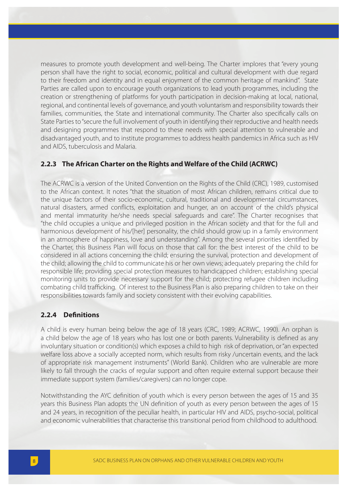measures to promote youth development and well-being. The Charter implores that "every young person shall have the right to social, economic, political and cultural development with due regard to their freedom and identity and in equal enjoyment of the common heritage of mankind". State Parties are called upon to encourage youth organizations to lead youth programmes, including the creation or strengthening of platforms for youth participation in decision-making at local, national, regional, and continental levels of governance, and youth voluntarism and responsibility towards their families, communities, the State and international community. The Charter also specifically calls on State Parties to "secure the full involvement of youth in identifying their reproductive and health needs and designing programmes that respond to these needs with special attention to vulnerable and disadvantaged youth, and to institute programmes to address health pandemics in Africa such as HIV and AIDS, tuberculosis and Malaria.

## **2.2.3 The African Charter on the Rights and Welfare of the Child (ACRWC)**

The ACRWC is a version of the United Convention on the Rights of the Child (CRC), 1989, customised to the African context. It notes "that the situation of most African children, remains critical due to the unique factors of their socio-economic, cultural, traditional and developmental circumstances, natural disasters, armed conflicts, exploitation and hunger, an on account of the child's physical and mental immaturity he/she needs special safeguards and care". The Charter recognises that "the child occupies a unique and privileged position in the African society and that for the full and harmonious development of his/[her] personality, the child should grow up in a family environment in an atmosphere of happiness, love and understanding". Among the several priorities identified by the Charter, this Business Plan will focus on those that call for: the best interest of the child to be considered in all actions concerning the child; ensuring the survival, protection and development of the child; allowing the child to communicate his or her own views; adequately preparing the child for responsible life; providing special protection measures to handicapped children; establishing special monitoring units to provide necessary support for the child; protecting refugee children including combating child trafficking. Of interest to the Business Plan is also preparing children to take on their responsibilities towards family and society consistent with their evolving capabilities.

#### 2.2.4 Definitions

A child is every human being below the age of 18 years (CRC, 1989; ACRWC, 1990). An orphan is a child below the age of 18 years who has lost one or both parents. Vulnerability is defined as any involuntary situation or condition(s) which exposes a child to high risk of deprivation, or "an expected welfare loss above a socially accepted norm, which results from risky /uncertain events, and the lack of appropriate risk management instruments" (World Bank). Children who are vulnerable are more likely to fall through the cracks of regular support and often require external support because their immediate support system (families/caregivers) can no longer cope.

Notwithstanding the AYC definition of youth which is every person between the ages of 15 and 35 years this Business Plan adopts the UN definition of youth as every person between the ages of 15 and 24 years, in recognition of the peculiar health, in particular HIV and AIDS, psycho-social, political and economic vulnerabilities that characterise this transitional period from childhood to adulthood.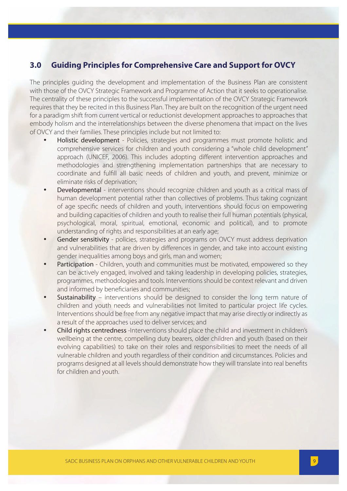## **3.0 Guiding Principles for Comprehensive Care and Support for OVCY**

The principles guiding the development and implementation of the Business Plan are consistent with those of the OVCY Strategic Framework and Programme of Action that it seeks to operationalise. The centrality of these principles to the successful implementation of the OVCY Strategic Framework requires that they be recited in this Business Plan. They are built on the recognition of the urgent need for a paradigm shift from current vertical or reductionist development approaches to approaches that embody holism and the interrelationships between the diverse phenomena that impact on the lives of OVCY and their families. These principles include but not limited to:

- **Holistic development** Policies, strategies and programmes must promote holistic and comprehensive services for children and youth considering a "whole child development" approach (UNICEF, 2006). This includes adopting different intervention approaches and methodologies and strengthening implementation partnerships that are necessary to coordinate and fulfill all basic needs of children and youth, and prevent, minimize or eliminate risks of deprivation;
- Developmental interventions should recognize children and youth as a critical mass of human development potential rather than collectives of problems. Thus taking cognizant of age specific needs of children and youth, interventions should focus on empowering and building capacities of children and youth to realise their full human potentials (physical, psychological, moral, spiritual, emotional, economic and political), and to promote understanding of rights and responsibilities at an early age;
- Gender sensitivity policies, strategies and programs on OVCY must address deprivation and vulnerabilities that are driven by differences in gender, and take into account existing gender inequalities among boys and girls, man and women;
- Participation Children, youth and communities must be motivated, empowered so they can be actively engaged, involved and taking leadership in developing policies, strategies, programmes, methodologies and tools. Interventions should be context relevant and driven and informed by beneficiaries and communities;
- **Sustainability** interventions should be designed to consider the long term nature of children and youth needs and vulnerabilities not limited to particular project life cycles. Interventions should be free from any negative impact that may arise directly or indirectly as a result of the approaches used to deliver services; and
- Child rights centredness -Interventions should place the child and investment in children's wellbeing at the centre, compelling duty bearers, older children and youth (based on their evolving capabilities) to take on their roles and responsibilities to meet the needs of all vulnerable children and youth regardless of their condition and circumstances. Policies and programs designed at all levels should demonstrate how they will translate into real benefits for children and youth.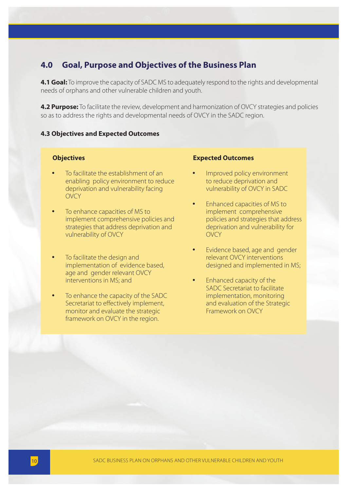## **4.0 Goal, Purpose and Objectives of the Business Plan**

**4.1 Goal:** To improve the capacity of SADC MS to adequately respond to the rights and developmental needs of orphans and other vulnerable children and youth.

**4.2 Purpose:** To facilitate the review, development and harmonization of OVCY strategies and policies so as to address the rights and developmental needs of OVCY in the SADC region.

#### **4.3 Objectives and Expected Outcomes**

#### **Objectives**

- To facilitate the establishment of an enabling policy environment to reduce deprivation and vulnerability facing OVCY
- To enhance capacities of MS to implement comprehensive policies and strategies that address deprivation and vulnerability of OVCY
- To facilitate the design and implementation of evidence based, age and gender relevant OVCY interventions in MS; and
- To enhance the capacity of the SADC Secretariat to effectively implement, monitor and evaluate the strategic framework on OVCY in the region.

#### **Expected Outcomes**

- Improved policy environment to reduce deprivation and vulnerability of OVCY in SADC
- Enhanced capacities of MS to implement comprehensive policies and strategies that address deprivation and vulnerability for OVCY
- Evidence based, age and gender relevant OVCY interventions designed and implemented in MS;
- Enhanced capacity of the SADC Secretariat to facilitate implementation, monitoring and evaluation of the Strategic Framework on OVCY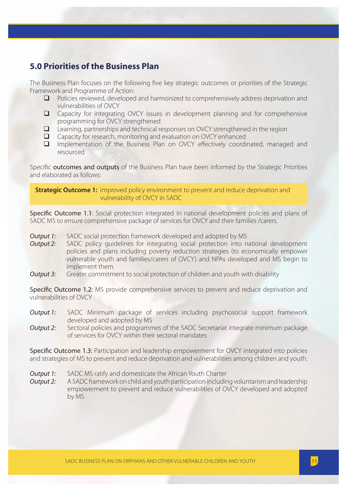## **5.0 Priorities of the Business Plan**

The Business Plan focuses on the following five key strategic outcomes or priorities of the Strategic Framework and Programme of Action:

- $\Box$  Policies reviewed, developed and harmonized to comprehensively address deprivation and vulnerabilities of OVCY
- Capacity for integrating OVCY issues in development planning and for comprehensive programming for OVCY strengthened
- $\Box$  Learning, partnerships and technical responses on OVCY strengthened in the region
- □ Capacity for research, monitoring and evaluation on OVCY enhanced
- $\Box$  Implementation of the Business Plan on OVCY effectively coordinated, managed and resourced

Specific outcomes and outputs of the Business Plan have been informed by the Strategic Priorities and elaborated as follows:

**Strategic Outcome 1:** Improved policy environment to prevent and reduce deprivation and vulnerability of OVCY in SADC

Specific Outcome 1.1: Social protection integrated in national development policies and plans of SADC MS to ensure comprehensive package of services for OVCY and their families /carers.

- **Output 1:** SADC social protection framework developed and adopted by MS
- *Output 2:* SADC policy quidelines for integrating social protection into national development policies and plans including poverty reduction strategies (to economically empower vulnerable youth and families/carers of OVCY) and NPAs developed and MS begin to implement them.
- *Output 3:* Greater commitment to social protection of children and youth with disability

Specific Outcome 1.2: MS provide comprehensive services to prevent and reduce deprivation and vulnerabilities of OVCY

- *Output 1:* SADC Minimum package of services including psychosocial support framework developed and adopted by MS
- *Output 2:* Sectoral policies and programmes of the SADC Secretariat integrate minimum package of services for OVCY within their sectoral mandates

Specific Outcome 1.3: Participation and leadership empowerment for OVCY integrated into policies and strategies of MS to prevent and reduce deprivation and vulnerabilities among children and youth.

*Output 1:* SADC MS ratify and domesticate the African Youth Charter

*Output 2:* A SADC framework on child and youth participation including voluntarism and leadership empowerment to prevent and reduce vulnerabilities of OVCY developed and adopted by MS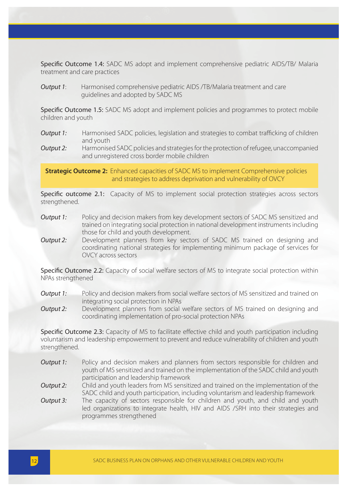Specific Outcome 1.4: SADC MS adopt and implement comprehensive pediatric AIDS/TB/ Malaria treatment and care practices

*Output 1*: Harmonised comprehensive pediatric AIDS /TB/Malaria treatment and care guidelines and adopted by SADC MS

Specific Outcome 1.5: SADC MS adopt and implement policies and programmes to protect mobile children and youth

- **Output 1:** Harmonised SADC policies, legislation and strategies to combat trafficking of children and youth
- **Output 2:** Harmonised SADC policies and strategies for the protection of refugee, unaccompanied and unregistered cross border mobile children

**Strategic Outcome 2:** Enhanced capacities of SADC MS to implement Comprehensive policies and strategies to address deprivation and vulnerability of OVCY

Specific outcome 2.1: Capacity of MS to implement social protection strategies across sectors strengthened.

- *Output 1:* Policy and decision makers from key development sectors of SADC MS sensitized and trained on integrating social protection in national development instruments including those for child and youth development.
- *Output 2:* Development planners from key sectors of SADC MS trained on designing and coordinating national strategies for implementing minimum package of services for OVCY across sectors

Specific Outcome 2.2: Capacity of social welfare sectors of MS to integrate social protection within NPAs strengthened

- **Output 1:** Policy and decision makers from social welfare sectors of MS sensitized and trained on integrating social protection in NPAs
- *Output 2:* Development planners from social welfare sectors of MS trained on designing and coordinating implementation of pro-social protection NPAs

**Specific Outcome 2.3:** Capacity of MS to facilitate effective child and youth participation including voluntarism and leadership empowerment to prevent and reduce vulnerability of children and youth strengthened.

- *Output 1:* Policy and decision makers and planners from sectors responsible for children and youth of MS sensitized and trained on the implementation of the SADC child and youth participation and leadership framework
- *Output 2:* Child and youth leaders from MS sensitized and trained on the implementation of the SADC child and youth participation, including voluntarism and leadership framework
- *Output 3:* The capacity of sectors responsible for children and youth, and child and youth led organizations to integrate health, HIV and AIDS /SRH into their strategies and programmes strengthened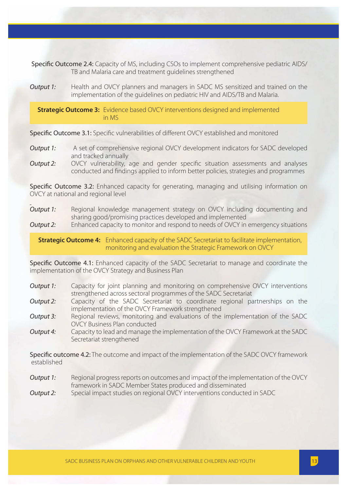Specific Outcome 2.4: Capacity of MS, including CSOs to implement comprehensive pediatric AIDS/ TB and Malaria care and treatment guidelines strengthened

*Output 1:* Health and OVCY planners and managers in SADC MS sensitized and trained on the implementation of the guidelines on pediatric HIV and AIDS/TB and Malaria.

**Strategic Outcome 3:** Evidence based OVCY interventions designed and implemented in MS

Specific Outcome 3.1: Specific vulnerabilities of different OVCY established and monitored

- **Output 1:** A set of comprehensive regional OVCY development indicators for SADC developed and tracked annually
- **Output 2:** OVCY vulnerability, age and gender specific situation assessments and analyses conducted and findings applied to inform better policies, strategies and programmes

Specific Outcome 3.2: Enhanced capacity for generating, managing and utilising information on OVCY at national and regional level

*Output 1:* Regional knowledge management strategy on OVCY including documenting and sharing good/promising practices developed and implemented

*Output 2:* Enhanced capacity to monitor and respond to needs of OVCY in emergency situations

**Strategic Outcome 4:** Enhanced capacity of the SADC Secretariat to facilitate implementation, monitoring and evaluation the Strategic Framework on OVCY

Specific Outcome 4.1: Enhanced capacity of the SADC Secretariat to manage and coordinate the implementation of the OVCY Strategy and Business Plan

- *Output 1:* Capacity for joint planning and monitoring on comprehensive OVCY interventions strengthened across sectoral programmes of the SADC Secretariat
- **Output 2:** Capacity of the SADC Secretariat to coordinate regional partnerships on the implementation of the OVCY Framework strengthened
- *Output 3:* Regional reviews, monitoring and evaluations of the implementation of the SADC OVCY Business Plan conducted
- *Output 4:* Capacity to lead and manage the implementation of the OVCY Framework at the SADC Secretariat strengthened

Specific outcome 4.2: The outcome and impact of the implementation of the SADC OVCY framework established

- **Output 1:** Regional progress reports on outcomes and impact of the implementation of the OVCY framework in SADC Member States produced and disseminated
- *Output 2:* Special impact studies on regional OVCY interventions conducted in SADC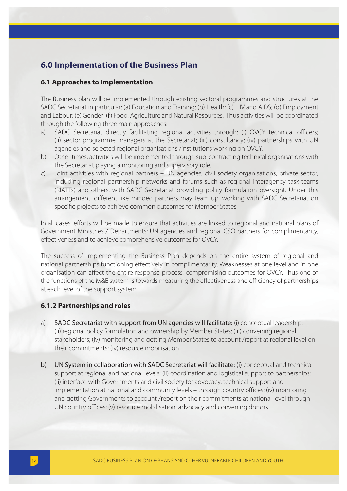## **6.0 Implementation of the Business Plan**

#### **6.1 Approaches to Implementation**

The Business plan will be implemented through existing sectoral programmes and structures at the SADC Secretariat in particular: (a) Education and Training; (b) Health; (c) HIV and AIDS; (d) Employment and Labour; (e) Gender; (f) Food, Agriculture and Natural Resources. Thus activities will be coordinated through the following three main approaches:

- a) SADC Secretariat directly facilitating regional activities through: (i) OVCY technical officers; (ii) sector programme managers at the Secretariat; (iii) consultancy; (iv) partnerships with UN agencies and selected regional organisations /institutions working on OVCY.
- b) Other times, activities will be implemented through sub-contracting technical organisations with the Secretariat playing a monitoring and supervisory role.
- c) Joint activities with regional partners UN agencies, civil society organisations, private sector, including regional partnership networks and forums such as regional interagency task teams (RIATTs) and others, with SADC Secretariat providing policy formulation oversight. Under this arrangement, different like minded partners may team up, working with SADC Secretariat on specific projects to achieve common outcomes for Member States.

In all cases, efforts will be made to ensure that activities are linked to regional and national plans of Government Ministries / Departments; UN agencies and regional CSO partners for complimentarity, effectiveness and to achieve comprehensive outcomes for OVCY.

The success of implementing the Business Plan depends on the entire system of regional and national partnerships functioning effectively in complimentarity. Weaknesses at one level and in one organisation can affect the entire response process, compromising outcomes for OVCY. Thus one of the functions of the M&E system is towards measuring the effectiveness and efficiency of partnerships at each level of the support system.

## **6.1.2 Partnerships and roles**

- a) SADC Secretariat with support from UN agencies will facilitate: (i) conceptual leadership; (ii) regional policy formulation and ownership by Member States; (iii) convening regional stakeholders; (iv) monitoring and getting Member States to account /report at regional level on their commitments; (iv) resource mobilisation
- b) UN System in collaboration with SADC Secretariat will facilitate: (i) conceptual and technical support at regional and national levels; (ii) coordination and logistical support to partnerships; (ii) interface with Governments and civil society for advocacy, technical support and implementation at national and community levels - through country offices; (iv) monitoring and getting Governments to account /report on their commitments at national level through UN country offices; (v) resource mobilisation: advocacy and convening donors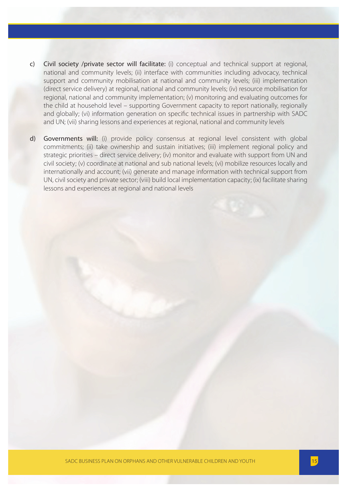- c) Civil society /private sector will facilitate: (i) conceptual and technical support at regional, national and community levels; (ii) interface with communities including advocacy, technical support and community mobilisation at national and community levels; (iii) implementation (direct service delivery) at regional, national and community levels; (iv) resource mobilisation for regional, national and community implementation; (v) monitoring and evaluating outcomes for the child at household level – supporting Government capacity to report nationally, regionally and globally; (vi) information generation on specific technical issues in partnership with SADC and UN; (vii) sharing lessons and experiences at regional, national and community levels
- d) Governments will: (i) provide policy consensus at regional level consistent with global commitments; (ii) take ownership and sustain initiatives; (iii) implement regional policy and strategic priorities – direct service delivery; (iv) monitor and evaluate with support from UN and civil society; (v) coordinate at national and sub national levels; (vi) mobilize resources locally and internationally and account; (vii) generate and manage information with technical support from UN, civil society and private sector; (viii) build local implementation capacity; (ix) facilitate sharing lessons and experiences at regional and national levels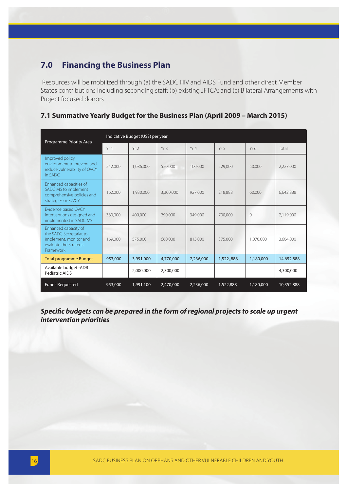## **7.0 Financing the Business Plan**

 Resources will be mobilized through (a) the SADC HIV and AIDS Fund and other direct Member States contributions including seconding staff; (b) existing JFTCA; and (c) Bilateral Arrangements with Project focused donors

## **7.1 Summative Yearly Budget for the Business Plan (April 2009 – March 2015)**

| Programme Priority Area                                                                                          |         | Indicative Budget (US\$) per year |                 |           |                 |                 |            |
|------------------------------------------------------------------------------------------------------------------|---------|-----------------------------------|-----------------|-----------|-----------------|-----------------|------------|
|                                                                                                                  | Yr1     | Yr <sub>2</sub>                   | Yr <sub>3</sub> | Yr4       | Yr <sub>5</sub> | Yr <sub>6</sub> | Total      |
| Improved policy<br>environment to prevent and<br>reduce vulnerability of OVCY<br>in SADC                         | 242,000 | 1,086,000                         | 520,000         | 100,000   | 229,000         | 50,000          | 2,227,000  |
| Enhanced capacities of<br>SADC MS to implement<br>comprehensive policies and<br>strategies on OVCY               | 162,000 | 1,930,000                         | 3,300,000       | 927,000   | 218.888         | 60,000          | 6,642,888  |
| <b>Evidence based OVCY</b><br>interventions designed and<br>implemented in SADC MS                               | 380,000 | 400.000                           | 290,000         | 349,000   | 700.000         | $\Omega$        | 2,119,000  |
| Enhanced capacity of<br>the SADC Secretariat to<br>implement, monitor and<br>evaluate the Strategic<br>Framework | 169.000 | 575,000                           | 660,000         | 815,000   | 375,000         | 1.070.000       | 3,664,000  |
| <b>Total programme Budget</b>                                                                                    | 953,000 | 3,991,000                         | 4,770,000       | 2,236,000 | 1,522,,888      | 1,180,000       | 14,652,888 |
| Available budget -ADB<br>Pediatric AIDS                                                                          |         | 2,000,000                         | 2,300,000       |           |                 |                 | 4,300,000  |
| <b>Funds Requested</b>                                                                                           | 953,000 | 1,991,100                         | 2,470,000       | 2,236,000 | 1,522,888       | 1,180,000       | 10,352,888 |

*Specific budgets can be prepared in the form of regional projects to scale up urgent intervention priorities*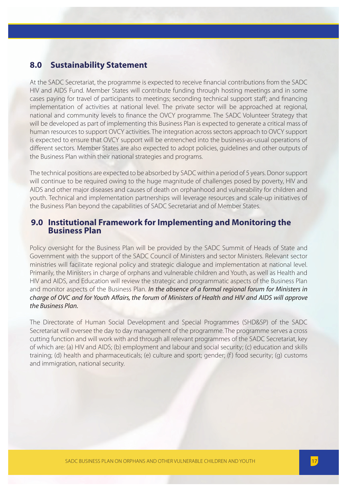## **8.0 Sustainability Statement**

At the SADC Secretariat, the programme is expected to receive financial contributions from the SADC HIV and AIDS Fund. Member States will contribute funding through hosting meetings and in some cases paying for travel of participants to meetings; seconding technical support staff; and financing implementation of activities at national level. The private sector will be approached at regional, national and community levels to finance the OVCY programme. The SADC Volunteer Strategy that will be developed as part of implementing this Business Plan is expected to generate a critical mass of human resources to support OVCY activities. The integration across sectors approach to OVCY support is expected to ensure that OVCY support will be entrenched into the business-as-usual operations of different sectors. Member States are also expected to adopt policies, guidelines and other outputs of the Business Plan within their national strategies and programs.

The technical positions are expected to be absorbed by SADC within a period of 5 years. Donor support will continue to be required owing to the huge magnitude of challenges posed by poverty, HIV and AIDS and other major diseases and causes of death on orphanhood and vulnerability for children and youth. Technical and implementation partnerships will leverage resources and scale-up initiatives of the Business Plan beyond the capabilities of SADC Secretariat and of Member States.

## **9.0 Institutional Framework for Implementing and Monitoring the Business Plan**

Policy oversight for the Business Plan will be provided by the SADC Summit of Heads of State and Government with the support of the SADC Council of Ministers and sector Ministers. Relevant sector ministries will facilitate regional policy and strategic dialogue and implementation at national level. Primarily, the Ministers in charge of orphans and vulnerable children and Youth, as well as Health and HIV and AIDS, and Education will review the strategic and programmatic aspects of the Business Plan and monitor aspects of the Business Plan. *In the absence of a formal regional forum for Ministers in charge of OVC and for Youth Affairs, the forum of Ministers of Health and HIV and AIDS will approve the Business Plan.* 

The Directorate of Human Social Development and Special Programmes (SHD&SP) of the SADC Secretariat will oversee the day to day management of the programme. The programme serves a cross cutting function and will work with and through all relevant programmes of the SADC Secretariat, key of which are: (a) HIV and AIDS; (b) employment and labour and social security; (c) education and skills training; (d) health and pharmaceuticals; (e) culture and sport; gender; (f) food security; (g) customs and immigration, national security.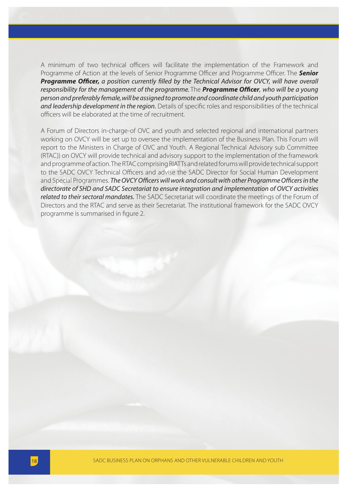A minimum of two technical officers will facilitate the implementation of the Framework and Programme of Action at the levels of Senior Programme Officer and Programme Officer. The **Senior Programme Officer,** a position currently filled by the Technical Advisor for OVCY, will have overall *responsibility for the management of the programme.* The **Programme Officer**, who will be a young *person and preferably female, will be assigned to promote and coordinate child and youth participation and leadership development in the region*. Details of specific roles and responsibilities of the technical officers will be elaborated at the time of recruitment.

A Forum of Directors in-charge-of OVC and youth and selected regional and international partners working on OVCY will be set up to oversee the implementation of the Business Plan. This Forum will report to the Ministers in Charge of OVC and Youth. A Regional Technical Advisory sub Committee (RTAC)) on OVCY will provide technical and advisory support to the implementation of the framework and programme of action. The RTAC comprising RIATTs and related forums will provide technical support to the SADC OVCY Technical Officers and advise the SADC Director for Social Human Development and Special Programmes. *The OVCY Officers will work and consult with other Programme Officers in the directorate of SHD and SADC Secretariat to ensure integration and implementation of OVCY activities related to their sectoral mandates.* The SADC Secretariat will coordinate the meetings of the Forum of Directors and the RTAC and serve as their Secretariat. The institutional framework for the SADC OVCY programme is summarised in figure 2.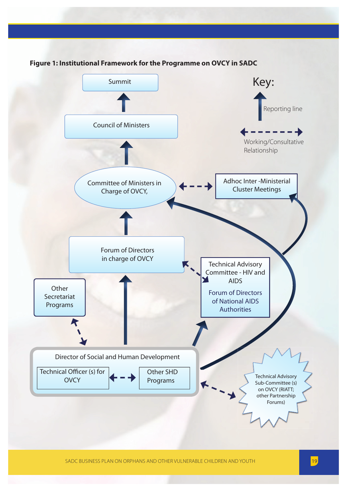

SADC BUSINESS PLAN ON ORPHANS AND OTHER VULNERABLE CHILDREN AND YOUTH 19 19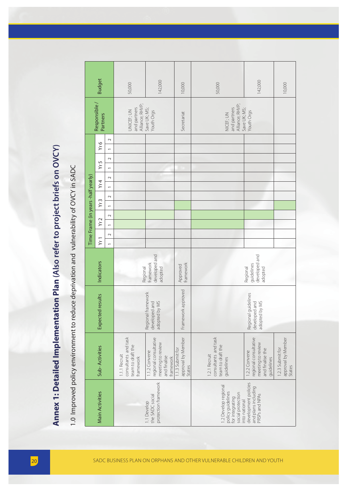|                 |                                                                                                                                      |                                    | <b>Budget</b>                                                                                                                                                                                                                                           | 50,000                                                                  | 142,000                                                                                  | 10,000                                           | 50,000                                                                                             | 142,000                                                                                       | 10,000                                           |
|-----------------|--------------------------------------------------------------------------------------------------------------------------------------|------------------------------------|---------------------------------------------------------------------------------------------------------------------------------------------------------------------------------------------------------------------------------------------------------|-------------------------------------------------------------------------|------------------------------------------------------------------------------------------|--------------------------------------------------|----------------------------------------------------------------------------------------------------|-----------------------------------------------------------------------------------------------|--------------------------------------------------|
|                 |                                                                                                                                      |                                    | Responsible /<br>Partners                                                                                                                                                                                                                               | Alliance; RHVP;<br>and partners<br>UNICEF; UN                           | Save UK; MS;<br>Youth Orgs                                                               | Secretariat                                      | Alliance; RHVP;<br>and partners<br>Save UK; MS;<br>NICEF; UN                                       | Youth Orgs                                                                                    |                                                  |
|                 | Annex 1: Detailed Implementation Plan (Also refer to project briefs on OVCY)<br>reduce deprivation and vulnerability of OVCY in SADC | Time Frame (in years -half yearly) | $\sim$<br>Yr6<br>$\overline{\phantom{0}}$<br>$\sim$<br>Yr 5<br>$\overline{\phantom{0}}$<br>$\sim$<br>Yr4<br>$\overline{\phantom{0}}$<br>$\sim$<br>Yr3<br>$\overline{\phantom{0}}$<br>$\sim$<br>Yr2<br>$\overline{ }$<br>$\sim$<br>Yr1<br>$\overline{a}$ |                                                                         |                                                                                          |                                                  |                                                                                                    |                                                                                               |                                                  |
|                 |                                                                                                                                      |                                    | Indicators                                                                                                                                                                                                                                              | Regional                                                                | developed and<br>framework<br>adopted                                                    | framework<br>Approved                            |                                                                                                    | developed and<br>guidelines<br>Regional<br>adopted                                            |                                                  |
|                 |                                                                                                                                      |                                    | Expected results                                                                                                                                                                                                                                        |                                                                         | Regional framework<br>developed and<br>adopted by MS                                     | Framework approved                               |                                                                                                    | Regional guidelines<br>developed and<br>adopted by MS                                         |                                                  |
|                 | 1.0 Improved policy environment to                                                                                                   |                                    | Sub-Activities                                                                                                                                                                                                                                          | consultants and task<br>team to draft the<br>1.1.1 Recruit<br>framework | regional consultative<br>meeting to review<br>1.1.2 Convene<br>and finalise<br>framework | approval by Member<br>1.1.3 Submit for<br>States | consultants and task<br>team to draft the<br>1.2.1 Recruit<br>guidelines                           | regional consultative<br>meeting to review<br>and finalise the<br>1.2.2 Convene<br>quidelines | approval by Member<br>1.2.3 Submit for<br>States |
|                 |                                                                                                                                      |                                    | <b>Main Activities</b>                                                                                                                                                                                                                                  |                                                                         | protection framework<br>the SADC social<br>1.1 Develop                                   |                                                  | 1.2 Develop regional<br>policy guidelines<br>social protection<br>for integrating<br>into national | development policies<br>and plans including<br>PRSPs and NPAs                                 |                                                  |
|                 |                                                                                                                                      |                                    |                                                                                                                                                                                                                                                         |                                                                         |                                                                                          |                                                  |                                                                                                    |                                                                                               |                                                  |
| $\overline{20}$ |                                                                                                                                      |                                    |                                                                                                                                                                                                                                                         |                                                                         |                                                                                          |                                                  | SADC BUSINESS PLAN ON ORPHANS AND OTHER VULNERABLE CHILDREN AND YOUTH                              |                                                                                               |                                                  |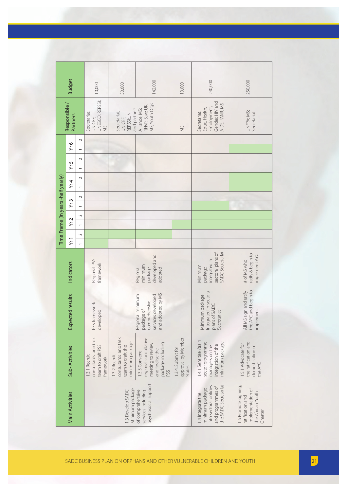|                                    | <b>Budget</b>             |                                    | 10,000                                                                  | 50,000                                                                        | 142,000                                                                                                     | 10,000                                            | 240,000                                                                                                     | 250,000                                                                                       |
|------------------------------------|---------------------------|------------------------------------|-------------------------------------------------------------------------|-------------------------------------------------------------------------------|-------------------------------------------------------------------------------------------------------------|---------------------------------------------------|-------------------------------------------------------------------------------------------------------------|-----------------------------------------------------------------------------------------------|
|                                    | Responsible /<br>Partners |                                    | UNESCO; REPSSI;<br>Secretariat;<br>UNICEF;<br>SW                        | and partners<br>Secretariat;<br>REPSSI;UN<br>UNICEF;                          | MS; Youth Orgs<br>RHVP; Save UK;<br>Alliance; MS;                                                           | SW                                                | Gender, HIV and<br>AIDS, FANR; MS<br>Employment,<br>Educ, Health,<br>Secretariat:                           | UNFPA; MS;<br>Secretariat                                                                     |
|                                    | Yr6                       | $\sim$<br>$\overline{a}$           |                                                                         |                                                                               |                                                                                                             |                                                   |                                                                                                             |                                                                                               |
|                                    | Yr5                       | $\sim$<br>$\overline{ }$           |                                                                         |                                                                               |                                                                                                             |                                                   |                                                                                                             |                                                                                               |
|                                    | Yr4                       | $\sim$<br>$\overline{\phantom{0}}$ |                                                                         |                                                                               |                                                                                                             |                                                   |                                                                                                             |                                                                                               |
|                                    | Yr3                       | $\sim$<br>$\overline{\phantom{0}}$ |                                                                         |                                                                               |                                                                                                             |                                                   |                                                                                                             |                                                                                               |
| Time Frame (in years -half yearly) | Yr2                       | $\sim$<br>$\overline{ }$           |                                                                         |                                                                               |                                                                                                             |                                                   |                                                                                                             |                                                                                               |
|                                    | Yr1                       | $\sim$<br>$\overline{\phantom{0}}$ |                                                                         |                                                                               |                                                                                                             |                                                   |                                                                                                             |                                                                                               |
|                                    | Indicators                |                                    | Regional PSS<br>framework                                               |                                                                               | developed and<br>minimum<br>package<br>Regional<br>adopted                                                  |                                                   | <b>SADC</b> Secretariat<br>sectoral plans of<br>integrated in<br>Minimum<br>package                         | ratify & begin to<br>implement AYC<br># of MS who                                             |
|                                    | Expected results          |                                    | PSS framework<br>developed                                              |                                                                               | and adopted by MS<br>Regional minimum<br>services developed<br>comprehensive<br>package of                  |                                                   | integrated in sectoral<br>Minimum package<br>plans of SADC<br>Secretariat                                   | the AYC and begin to<br>All MS sign and ratify<br>implement                                   |
|                                    | Sub-Activities            |                                    | consultants and task<br>team to draft PSS<br>1.3.1 Recruit<br>framework | consultants and task<br>minimum package<br>team to draft the<br>1.3.2 Recruit | regional consultative<br>meeting to review<br>package including<br>and finalise the<br>1.3.3 Convene<br>PSS | approval by Member<br>1.3.4. Submit for<br>States | 1.4.1 Sensitise /train<br>minimum package<br>sector programme<br>integration of the<br>managers on the      | the ratification and<br>1.5.1 Advocate for<br>domestication of<br>the AYC                     |
|                                    | Main Activities           |                                    |                                                                         | Minimum package<br>1.3 Develop SADC                                           | psychosocial support<br>of comprehensive<br>services including                                              |                                                   | into sectoral policies<br>the SADC Secretariat<br>and programmes of<br>minimum package<br>1.4 Integrate the | 1.5 Promote signing,<br>implementation of<br>the African Youth<br>ratification and<br>Charter |
|                                    |                           |                                    |                                                                         |                                                                               |                                                                                                             |                                                   |                                                                                                             |                                                                                               |
|                                    |                           |                                    |                                                                         |                                                                               |                                                                                                             |                                                   | SADC BUSINESS PLAN ON ORPHANS AND OTHER VULNERABLE CHILDREN AND YOUTH                                       |                                                                                               |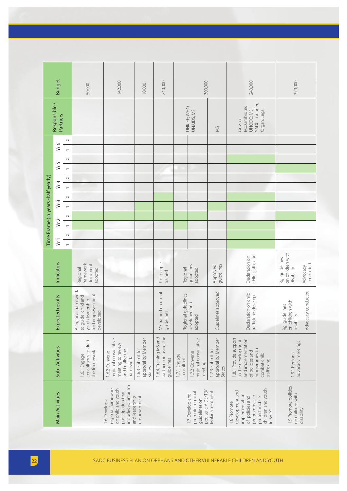22 SADC BUSINESS PLAN ON ORPHANS AND OTHER VULNERABLE CHILDREN AND YOUTH Main Activities Sub- Activities Expected results Indicators Time Frame (in years -half yearly) Responsible / Partners Budget Yr 1 Yr 2 Yr 3 Yr 4 Yr 5 Yr 6 121212121212 1.6 Develop a regional framework on child and youth participation that includes voluntarism and leadership empowerment 1.6.1 Engage consultancy to draft the framework A regional framework to guide child and youth leadership and empowerment developed Regional framework document adopted 50,000 1.6.2 Convene regional consultative meeting to review and ! nalise the framework 142,000 1.6.3 Submit for approval by Member States 10,000 1.6.4. Training MS and partners on using the guidelines MS trained on use of guidelines # of people trained 240,000 1.7 Develop and promote regional guidelines on pediatric AIDS/TB/ Malaria treatment 1.7.1 Engage consultants Regional guidelines developed and adopted Regional guidelines adopted UNICEF; WHO; UNAIDS; MS 300,000 1.7.2 Convene regional consultative meeting 1.7.3 Submit for approval by Member States Guidelines approved Approved guidelines MS 1.8 Promote development and implementation of policies and programmes to protect mobile children and youth in SADC 1.8.1 Provide support to the development and implementation of policies and programmes to combat child tra 240,000 379,000SADC –Gender, Mozambique; UNODC; MS; Organ, Legal Govt of on children with on children with Declaration on " cking Rgl guidelines Advocacy<br>conducted conducted disability child tra Advocacy conducted Advocacy conducted Declaration on child trafficking develop fficking develop on children with on children with Rgl guidelines disability advocacy meetings advocacy meetings 1.9.1 Regional 1.9.1 Regional trafficking 1.9 Promote policies 1.9 Promote policies on children with on children with disability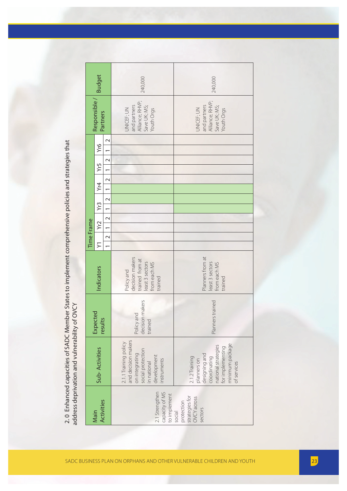|                                                                         |                                                                                                                                             |                                          |                                                                                               |                          | Time Frame                        |                          |                          |                                             |                          |                                                                             |               |
|-------------------------------------------------------------------------|---------------------------------------------------------------------------------------------------------------------------------------------|------------------------------------------|-----------------------------------------------------------------------------------------------|--------------------------|-----------------------------------|--------------------------|--------------------------|---------------------------------------------|--------------------------|-----------------------------------------------------------------------------|---------------|
| Activities<br>Main                                                      | Sub-Activities                                                                                                                              | Expected<br>results                      | Indicators                                                                                    | $\succ$                  | Yr2                               | Yr <sub>3</sub>          | Yr4                      | Yr5                                         | Υr <sub>6</sub>          | Responsible<br>Partners                                                     | <b>Budget</b> |
|                                                                         |                                                                                                                                             |                                          |                                                                                               | $\sim$<br>$\overline{ }$ | $\mathbf{\sim}$<br>$\overline{ }$ | $\overline{\phantom{0}}$ | $\overline{ }$<br>$\sim$ | $\overline{\phantom{0}}$<br>$\mathbf{\sim}$ | $\overline{ }$<br>$\sim$ | $\sim$                                                                      |               |
| 2.1 Strengthen<br>capacity of MS<br>to implement                        | and decision makers<br>2.1.1 Training policy<br>social protection<br>on integrating<br>development<br>instruments<br>in national            | decision makers<br>Policy and<br>trained | decision makers<br>trained from at<br>east 3 sectors<br>from each MS<br>Policy and<br>trained |                          |                                   |                          |                          |                                             |                          | Alliance; RHVP;<br>and partners<br>Save UK; MS;<br>UNICEF; UN<br>Youth Orgs | 240,000       |
| strategies for<br><b>OVCY</b> across<br>protection<br>sectors<br>social | minimum package<br>national strategies<br>for implementing<br>designing and<br>2.1.2 Training<br>coordinating<br>planners on<br>of services | Planners trained                         | Planners from at<br>least 3 sectors<br>from each MS<br>trained                                |                          |                                   |                          |                          |                                             |                          | Alliance; RHVP;<br>and partners<br>Save UK; MS;<br>JNICEF; UN<br>Youth Orgs | 240,000       |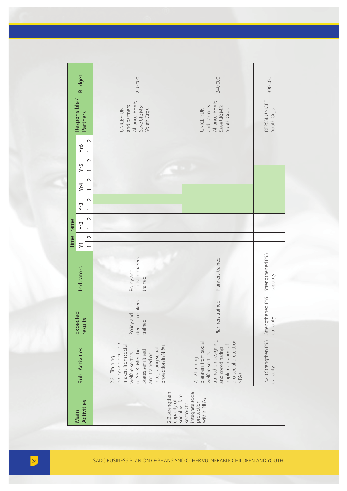|    |            | <b>Budget</b>             |                          | 240,000                                                                                                                                                                             | 240,000                                                                                                                                                    | 390,000                          |
|----|------------|---------------------------|--------------------------|-------------------------------------------------------------------------------------------------------------------------------------------------------------------------------------|------------------------------------------------------------------------------------------------------------------------------------------------------------|----------------------------------|
|    |            | Responsible /<br>Partners |                          | Alliance; RHVP;<br>Save UK; MS;<br>Youth Orgs<br>and partners<br>UNICEF; UN                                                                                                         | Alliance; RHVP;<br>Save UK; MS;<br>Youth Orgs<br>and partners<br>UNICEF; UN                                                                                | REPSSI, UNICEF;<br>Youth Orgs    |
|    |            | ŽК                        | $\sim$                   |                                                                                                                                                                                     |                                                                                                                                                            |                                  |
|    |            | Yr5                       | $\sim$                   |                                                                                                                                                                                     |                                                                                                                                                            |                                  |
|    |            | Үr4                       | $\sim$<br>$\overline{ }$ |                                                                                                                                                                                     |                                                                                                                                                            |                                  |
|    |            | Yr3                       | $\sim$<br>$\leftarrow$   |                                                                                                                                                                                     |                                                                                                                                                            |                                  |
|    |            | Yr2                       | $\sim$<br>$\overline{ }$ |                                                                                                                                                                                     |                                                                                                                                                            |                                  |
|    | Time Frame | $\sum$                    | $\sim$                   |                                                                                                                                                                                     |                                                                                                                                                            |                                  |
|    |            | Indicators                |                          | decision makers<br>Policy and<br>trained                                                                                                                                            | Planners trained                                                                                                                                           | Strengthened PSS<br>Capacity     |
|    |            | Expected<br>results       |                          | decision makers<br>Policy and<br>trained                                                                                                                                            | Planners trained                                                                                                                                           | Strengthened PSS<br>capacity     |
|    |            | Sub-Activities            |                          | policy and decision<br>protection in NPAs<br>makers from social<br>of SADC Member<br>integrating social<br>States sensitized<br>welfare sectors<br>and trained on<br>2.2.1 Training | trained on designing<br>pro-social protection<br>planners from social<br>implementation of<br>and coordinating<br>welfare sectors<br>2.2.2Training<br>NPAS | 2.2.3 Strengthen PSS<br>capacity |
|    |            | Activities<br>Main        |                          | 2.2 Strengthen<br>social welfare<br>capacity of                                                                                                                                     | integrate social<br>within NPA <sub>S</sub><br>protection<br>sectors to                                                                                    |                                  |
|    |            |                           |                          |                                                                                                                                                                                     |                                                                                                                                                            |                                  |
| 24 |            |                           |                          | SADC BUSINESS PLAN ON ORPHANS AND OTHER VULNERABLE CHILDREN AND YOUTH                                                                                                               |                                                                                                                                                            |                                  |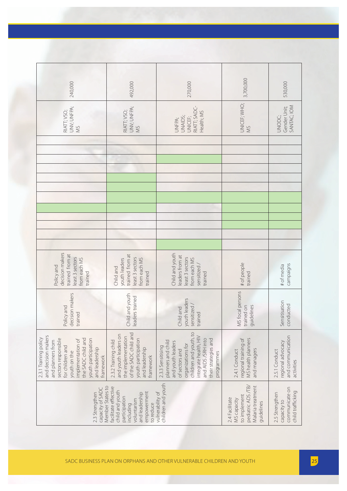| 240,000                                                                                                                                                                                                                       | 492,000                                                                                                                                                | 270,000                                                                                                                                                                                                            | 3,700,000                                                                                              | 530,000                                                               |
|-------------------------------------------------------------------------------------------------------------------------------------------------------------------------------------------------------------------------------|--------------------------------------------------------------------------------------------------------------------------------------------------------|--------------------------------------------------------------------------------------------------------------------------------------------------------------------------------------------------------------------|--------------------------------------------------------------------------------------------------------|-----------------------------------------------------------------------|
| UNY; UNFPA;<br>RIATT; VSO;<br>SM                                                                                                                                                                                              | UNY; UNFPA;<br>RIATT; VSO;<br>NS                                                                                                                       | RIATT; SADC-<br>Health; MS<br>UNAIDS;<br>UNICEF;<br>UNFPA;                                                                                                                                                         | UNICEF; WHO;<br>SM                                                                                     | SANTAC; IOM<br>Gender Unit;<br>UNODC;                                 |
|                                                                                                                                                                                                                               |                                                                                                                                                        |                                                                                                                                                                                                                    |                                                                                                        |                                                                       |
|                                                                                                                                                                                                                               |                                                                                                                                                        |                                                                                                                                                                                                                    |                                                                                                        |                                                                       |
| decision makers<br>trained from at<br>east 3 sectors<br>from each MS<br>Policy and<br>trained                                                                                                                                 | trained from at<br>least 3 sectors<br>youth leaders<br>from each MS<br>Child and<br>trained                                                            | Child and youth<br>eaders from at<br>least 3 sectors<br>from each MS<br>sensitized /<br>trained                                                                                                                    | # of people<br>trained                                                                                 | campaigns<br># of media                                               |
| decision makers<br>Policy and<br>trained                                                                                                                                                                                      | Child and youth<br>leaders trained                                                                                                                     | youth leaders<br>sensitized<br>Child and<br>trained                                                                                                                                                                | MS focal persons<br>guidelines<br>trained on                                                           | Sensitisation<br>conducted                                            |
| and decision makers<br>2.3.1 Training policy<br>the SADC child and<br>youth participation<br>sectors responsible<br>implementation of<br>and planners from<br>for children and<br>and leadership<br>youth on the<br>framework | of the SADC child and<br>and youth leaders on<br>the implementation<br>youth participation<br>2.3.2 Training child<br>and leadership<br>framework      | children and youth, to<br>integrate health, HIV<br>and AIDS /SRH into<br>their strategies and<br>planners and child<br>and youth leaders<br>organizations for<br>2.3.3 Sensitising<br>of sectors and<br>programmes | MS health planners<br>regional training of<br>and managers<br>2.4.1 Conduct                            | and communication<br>regional advocacy<br>2.5.1 Conduct<br>activities |
| capacity of SADC<br>2.3 Strengthen                                                                                                                                                                                            | Member States to<br>facilitate effective<br>child and youth<br>empowerment<br>and leadership<br>participation<br>voluntarism<br>to reduce<br>including | children and youth<br>vulnerability of                                                                                                                                                                             | pediatric ADS /TB/<br>Malaria treatment<br>to implement<br>2.4 Facilitate<br>MS capacity<br>guidelines | communicate on<br>child trafficking<br>2.5 Strengthen<br>capacity to  |
|                                                                                                                                                                                                                               |                                                                                                                                                        | SADC BUSINESS PLAN ON ORPHANS AND OTHER VULNERABLE CHILDREN AND YOUTH                                                                                                                                              |                                                                                                        |                                                                       |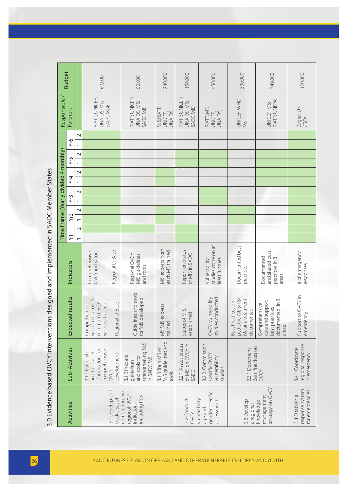|                                                                                      | <b>Budget</b>                                   |                                    | 60,000                                                                          |                                   | 50,000                                                                          | 240,000                                          | 150,000                                          | 450,000                                                        | 300,000                                                                    | 749,000                                                                         | 120,000                                               |
|--------------------------------------------------------------------------------------|-------------------------------------------------|------------------------------------|---------------------------------------------------------------------------------|-----------------------------------|---------------------------------------------------------------------------------|--------------------------------------------------|--------------------------------------------------|----------------------------------------------------------------|----------------------------------------------------------------------------|---------------------------------------------------------------------------------|-------------------------------------------------------|
|                                                                                      | Responsible /<br>Partners                       |                                    | RIATT; UNICEF;<br>UNAIDS; MS;<br>SADC M&E                                       |                                   | RIATT; UNICEF;<br>UNAIDS; MS;<br>SADC MIS                                       | MIS;RIATT;<br>UNAIDS;<br>UNICEF;                 | RIATT; UNICEF;<br>UNAIDS; MS;<br>SADC MIS        | RIATT; MS<br>UNAIDS;<br>UNICEF;                                | UNICEF; WHO;<br>SM                                                         | RIATT; UNFPA<br>UNICEF; MS;                                                     | Organ; UN;<br>CSOs                                    |
|                                                                                      | Yr6                                             | $\sim$<br>$\overline{a}$           |                                                                                 |                                   |                                                                                 |                                                  |                                                  |                                                                |                                                                            |                                                                                 |                                                       |
|                                                                                      |                                                 | $\sim$                             |                                                                                 |                                   |                                                                                 |                                                  |                                                  |                                                                |                                                                            |                                                                                 |                                                       |
|                                                                                      | Yr5                                             | $\overline{\phantom{0}}$<br>$\sim$ |                                                                                 |                                   |                                                                                 |                                                  |                                                  |                                                                |                                                                            |                                                                                 |                                                       |
|                                                                                      | Yr4                                             | $\overline{a}$                     |                                                                                 |                                   |                                                                                 |                                                  |                                                  |                                                                |                                                                            |                                                                                 |                                                       |
|                                                                                      | Yr3                                             | $\sim$                             |                                                                                 |                                   |                                                                                 |                                                  |                                                  |                                                                |                                                                            |                                                                                 |                                                       |
|                                                                                      |                                                 | $\overline{a}$<br>$\sim$           |                                                                                 |                                   |                                                                                 |                                                  |                                                  |                                                                |                                                                            |                                                                                 |                                                       |
|                                                                                      | Yr2                                             | $\overline{a}$                     |                                                                                 |                                   |                                                                                 |                                                  |                                                  |                                                                |                                                                            |                                                                                 |                                                       |
|                                                                                      | Time Frame (Yearly divided 4 monthly)<br>$\sum$ | $\sim$<br>$\overline{a}$           |                                                                                 |                                   |                                                                                 |                                                  |                                                  |                                                                |                                                                            |                                                                                 |                                                       |
|                                                                                      | Indicators                                      |                                    | <b>OVCY</b> indicators<br>Comprehensive                                         | Regional D-Base                   | Regional OVCY<br>MIS guidelines<br>and tools                                    | MIS experts from<br>each MS trained              | Report on status<br>of MIS in SADC               | studies done on at<br>least 3 issues<br>Vulnerability          | Documented best<br>practices                                               | and shared best<br>Documented<br>practices in 3<br>areas                        | # of emergency<br>responses                           |
| 3.0 Evidence based OVCY interventions designed and implemented in SADC Member States | Expected results                                |                                    | indicators for<br>minimum OVCY<br>Comprehensive<br>services tracked<br>set of i | Regional D-Base                   | Guidelines and tools<br>for MIS developed                                       | MS MIS experts<br>trained                        | Status of MIS<br>ished<br>establi                | studies conducted<br>vulnerability<br>OVCY.                    | pediatric AIDS/TB/<br>Malaria treatment<br>Best Practices on<br>documented | documented in 3<br>care and support<br>Comprehensive<br>Best practices<br>areas | Support to OVCY in<br>emergency                       |
|                                                                                      | Sub-Activities                                  |                                    | of indicators for<br>comprehensive<br>and track a set<br>3.1.1 Establish        | development<br>OVCY               | strengthening MIS<br>3.1.2 Prepare<br>and tools for<br>in SADC MS<br>guidelines | MIS guidelines and<br>3.1.3 Train MS on<br>tools | 3.2.1 Assess status<br>of MIS on OVCY in<br>SADC | 3.2.2. Commission<br>specific OVCY<br>vulnerability<br>studies | Best Practices on<br>3.3.1 Document                                        | OVCY                                                                            | regional response<br>3.4.1 Coordinate<br>in emergency |
|                                                                                      | Activities                                      |                                    |                                                                                 | 3.1 Develop and<br>track a set of | comprehensive<br>regional OVCY<br>including PSS<br>indicators                   |                                                  | vulnerability<br>3.2 Conduct<br>OVCY             | gender specific<br>assessments<br>age and                      | 3.3 Develop<br>a regional                                                  | strategy on OVCY<br>management<br>knowledge                                     | response system<br>for emergencies<br>3.4 Establish a |
|                                                                                      |                                                 |                                    |                                                                                 |                                   | SADC BUSINESS PLAN ON ORPHANS AND OTHER VULNERABLE CHILDREN AND YOUTH           |                                                  |                                                  |                                                                |                                                                            |                                                                                 |                                                       |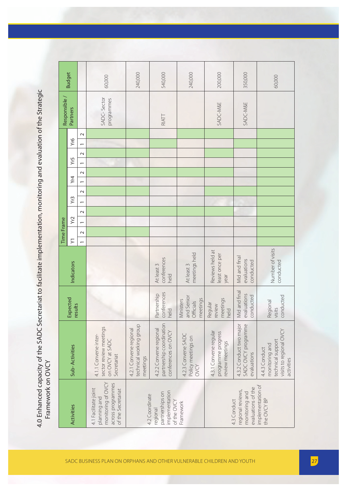4.0 Enhanced capacity of the SADC Secretariat to facilitate implementation, monitoring and evaluation of the Strategic<br>Framework on OVCY 4.0 Enhanced capacity of the SADC Secretariat to facilitate implementation, monitoring and evaluation of the Strategic Framework on OVCY

|                                                                                                       |                                                                                               |                                                  |                                           | Time Frame |                |                 |                          |        |                          |                |        |     |                 | Responsible /             | <b>Budget</b> |
|-------------------------------------------------------------------------------------------------------|-----------------------------------------------------------------------------------------------|--------------------------------------------------|-------------------------------------------|------------|----------------|-----------------|--------------------------|--------|--------------------------|----------------|--------|-----|-----------------|---------------------------|---------------|
| Activities                                                                                            | Sub-Activities                                                                                | Expected<br>results                              | Indicators                                | $\succ$    | Yr2            |                 | Yr3                      |        | Yr4                      | Yr5            |        | Yr6 | <b>Partners</b> |                           |               |
|                                                                                                       |                                                                                               |                                                  |                                           | $\sim$     | $\overline{ }$ | $\mathbf{\sim}$ | $\overline{\phantom{0}}$ | $\sim$ | $\sim$<br>$\overline{ }$ | $\overline{ }$ | $\sim$ |     | $\sim$          |                           |               |
| monitoring of OVCY<br>across programmes<br>4.1 Facilitate joint<br>of the Secretariat<br>planning and | sector review meetings<br>4.1.1 Convene inter-<br>on OVCY at SADC<br>Secretariat              |                                                  |                                           |            |                |                 |                          |        |                          |                |        |     |                 | SADC-Sector<br>programmes | 60,000        |
| 4.2 Coordinate                                                                                        | technical working group<br>4.2.1 Convene regional<br>meetings                                 |                                                  |                                           |            |                |                 |                          |        |                          |                |        |     |                 |                           | 240,000       |
| implementation<br>partnerships on<br>of the OVCY<br>regional                                          | partnership coordination<br>4.2.2 Convene regional<br>conferences on OVCY                     | conferences<br>Partnership<br>held               | conferences<br>At least 3<br>held         |            |                |                 |                          |        |                          |                |        |     | RIATT           |                           | 540,000       |
| Framework                                                                                             | 4.2.3 Convene SADC<br>Policy meetings on<br>OVCY                                              | and Senior<br>meetings<br>Ministers<br>Officials | meetings held<br>At least 3               |            |                |                 |                          |        |                          |                |        |     |                 |                           | 240,000       |
|                                                                                                       | 4.3.1 Convene regular<br>programme progress<br>review meetings                                | meetings<br>Regular<br>review<br>held            | Reviews held at<br>least once per<br>year |            |                |                 |                          |        |                          |                |        |     |                 | SADC-M&E                  | 200,000       |
| evaluations of the<br>regional reviews,<br>monitoring and<br>4.3 Conduct                              | 4.3.2 Conduct two major<br>SADC OVCY programme<br>evaluations                                 | Mid and final<br>evaluations<br>conducted        | Mid and final<br>evaluations<br>conducted |            |                |                 |                          |        |                          |                |        |     |                 | SADC-M&E                  | 350,000       |
| implementation of<br>the OVCY BP                                                                      | visits to regional OVCY<br>technical support<br>monitoring and<br>4.4.3 Conduct<br>activities | conducted<br>Regional<br>visits                  | Number of visits<br>conducted             |            |                |                 |                          |        |                          |                |        |     |                 |                           | 60,000        |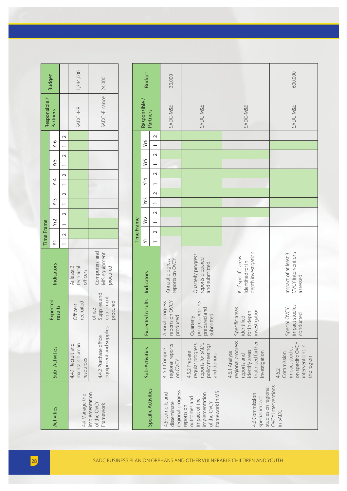|             | <b>Budget</b>                      |                                                                           | ,344,000                                         | 24,000                                          |
|-------------|------------------------------------|---------------------------------------------------------------------------|--------------------------------------------------|-------------------------------------------------|
| Responsible | Partners                           |                                                                           | SADC-HR                                          | SADC-Finance                                    |
|             |                                    |                                                                           |                                                  |                                                 |
|             |                                    |                                                                           |                                                  |                                                 |
|             |                                    |                                                                           |                                                  |                                                 |
|             | $(1$ $Yr2$ $Yr3$ $Yr4$ $Yr5$ $Yr6$ | $2 \mid 1 \mid 2 \mid 1 \mid 2 \mid 1 \mid 2 \mid 1 \mid 2 \mid 1 \mid 2$ |                                                  |                                                 |
|             |                                    |                                                                           |                                                  |                                                 |
| Time Frame  |                                    |                                                                           |                                                  |                                                 |
|             | ndicators                          |                                                                           | At least 2<br>technical<br>officers              | Computers, and<br>MIS equipment<br>pennocr      |
|             | Expected<br>results                |                                                                           | recruited<br><b>Officers</b>                     | Supplies and<br>equipment<br>procured<br>office |
|             | Sub-Activities                     |                                                                           | maintain human<br>4.4.1 Recruit and<br>resources | equipment and supplies<br>4.4.2 Purchase office |
|             | <b>Activities</b>                  |                                                                           | 4.4 Manage the                                   | implementation<br>of the OVCY<br>Framework      |

|               | <b>Budget</b>       |                                                      | 1,344,000                                        | 24,000                                          |            | <b>Budget</b>          |                                                      | 30,000                                              |                                                                                                 |                                                                                                           | 600,000                                                                                     |
|---------------|---------------------|------------------------------------------------------|--------------------------------------------------|-------------------------------------------------|------------|------------------------|------------------------------------------------------|-----------------------------------------------------|-------------------------------------------------------------------------------------------------|-----------------------------------------------------------------------------------------------------------|---------------------------------------------------------------------------------------------|
| Responsible / | Partners            |                                                      | SADC-HR                                          | SADC-Finance                                    |            | Responsible /          | Partners                                             | SADC-M&E                                            | SADC-M&E                                                                                        | SADC-M&E                                                                                                  | SADC-M&E                                                                                    |
|               | Yr6                 | $\sim$<br>$\overline{ }$<br>$\sim$                   |                                                  |                                                 |            | Yr6                    | $\sim$<br>$\sim$                                     |                                                     |                                                                                                 |                                                                                                           |                                                                                             |
|               | Yr5<br>Yr4          | $\overline{ }$<br>$\sim$<br>$\overline{\phantom{0}}$ |                                                  |                                                 |            | Yr5<br>Yr4             | $\overline{\phantom{0}}$<br>$\sim$<br>$\overline{ }$ |                                                     |                                                                                                 |                                                                                                           |                                                                                             |
|               | Yr3                 | $\sim$<br>$\overline{a}$<br>$\sim$                   |                                                  |                                                 |            | Yr <sub>3</sub><br>Yr2 | $\sim$<br>$\overline{ }$<br>$\sim$                   |                                                     |                                                                                                 |                                                                                                           |                                                                                             |
| Time Frame    | Yr2<br>$\succ$      | $\overline{\phantom{0}}$<br>$\sim$<br>$\overline{a}$ |                                                  |                                                 | Time Frame | $\succ$                | $\overline{ }$<br>$\sim$<br>$\overline{\phantom{0}}$ |                                                     |                                                                                                 |                                                                                                           |                                                                                             |
|               | Indicators          |                                                      | At least 2<br>technical<br>officers              | Computers, and<br>MIS equipment<br>procured     |            | Indicators             |                                                      | reports on OVCY<br>Annual progress                  | Quarterly progress<br>reports prepared<br>and submitted                                         | depth investigation<br># of specific areas<br>identified for in                                           | <b>OVCY</b> interventions<br>Impact of at least 3<br>assessed                               |
|               | Expected<br>results |                                                      | recruited<br>Officers                            | Supplies and<br>equipment<br>procured<br>office |            | Expected results       |                                                      | Annual progress<br>reports on OVCY<br>produced      | progress reports<br>prepared and<br>submitted<br>Quarterly                                      | Specific areas<br>investigation<br>for in depth<br>identified                                             | Special OVCY<br>impact studies<br>conducted                                                 |
|               | Sub-Activities      |                                                      | maintain human<br>4.4.1 Recruit and<br>resources | equipment and supplies<br>4.4.2 Purchase office |            | Sub-Activities         |                                                      | regional reports<br>4.5.1 Compile<br>on OVCY        | reports for SADC<br>regular progress<br>policy meetings<br>4.5.2 Prepare<br>and donors          | regional progress<br>that need further<br>identify areas<br>4.6.1 Analyse<br>investigation<br>reports and | on specific OVCY<br>interventions in<br>impact studies<br>Commission<br>the region<br>4.6.2 |
|               | Activities          |                                                      | 4.4 Manage the                                   | implementation<br>of the OVCY<br>Framework      |            |                        | Specific Activities                                  | regional progress<br>4.5 Compile and<br>disseminate | framework in MS<br>implementation<br>outcomes and<br>impact of the<br>of the OVCY<br>reports on | studies on regional<br>4.6 Commission<br>special impact                                                   | OVCY interventions<br>in SADC                                                               |
|               |                     |                                                      |                                                  |                                                 |            |                        |                                                      |                                                     |                                                                                                 |                                                                                                           |                                                                                             |